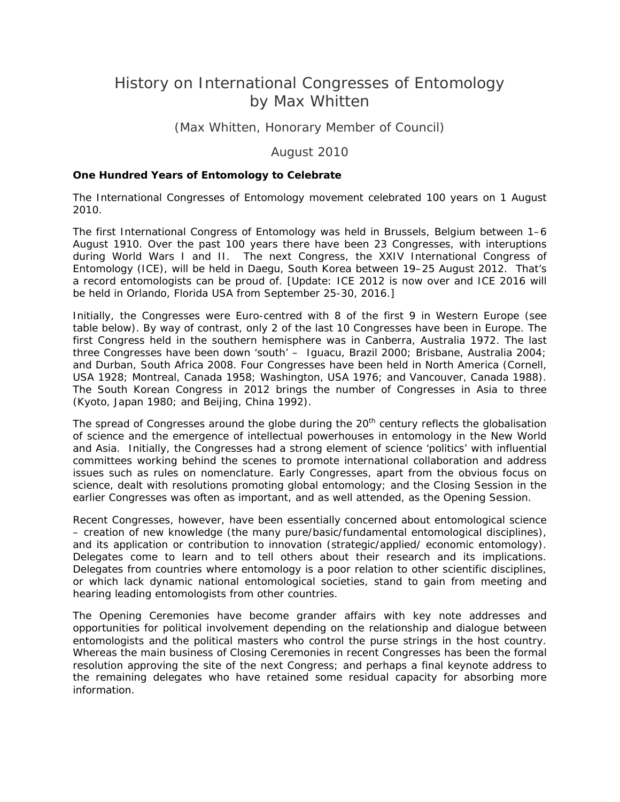# History on International Congresses of Entomology by Max Whitten

# (Max Whitten, Honorary Member of Council)

August 2010

#### **One Hundred Years of Entomology to Celebrate**

The International Congresses of Entomology movement celebrated 100 years on 1 August 2010.

The first International Congress of Entomology was held in Brussels, Belgium between 1–6 August 1910. Over the past 100 years there have been 23 Congresses, with interuptions during World Wars I and II. The next Congress, the XXIV International Congress of Entomology (ICE), will be held in Daegu, South Korea between 19–25 August 2012. That's a record entomologists can be proud of. [Update: ICE 2012 is now over and ICE 2016 will be held in Orlando, Florida USA from September 25-30, 2016.]

Initially, the Congresses were Euro-centred with 8 of the first 9 in Western Europe (see table below). By way of contrast, only 2 of the last 10 Congresses have been in Europe. The first Congress held in the southern hemisphere was in Canberra, Australia 1972. The last three Congresses have been down 'south' – Iguacu, Brazil 2000; Brisbane, Australia 2004; and Durban, South Africa 2008. Four Congresses have been held in North America (Cornell, USA 1928; Montreal, Canada 1958; Washington, USA 1976; and Vancouver, Canada 1988). The South Korean Congress in 2012 brings the number of Congresses in Asia to three (Kyoto, Japan 1980; and Beijing, China 1992).

The spread of Congresses around the globe during the  $20<sup>th</sup>$  century reflects the globalisation of science and the emergence of intellectual powerhouses in entomology in the New World and Asia. Initially, the Congresses had a strong element of science 'politics' with influential committees working behind the scenes to promote international collaboration and address issues such as rules on nomenclature. Early Congresses, apart from the obvious focus on science, dealt with resolutions promoting global entomology; and the Closing Session in the earlier Congresses was often as important, and as well attended, as the Opening Session.

Recent Congresses, however, have been essentially concerned about entomological science – creation of new knowledge (the many pure/basic/fundamental entomological disciplines), and its application or contribution to innovation (strategic/applied/ economic entomology). Delegates come to learn and to tell others about their research and its implications. Delegates from countries where entomology is a poor relation to other scientific disciplines, or which lack dynamic national entomological societies, stand to gain from meeting and hearing leading entomologists from other countries.

The Opening Ceremonies have become grander affairs with key note addresses and opportunities for political involvement depending on the relationship and dialogue between entomologists and the political masters who control the purse strings in the host country. Whereas the main business of Closing Ceremonies in recent Congresses has been the formal resolution approving the site of the next Congress; and perhaps a final keynote address to the remaining delegates who have retained some residual capacity for absorbing more information.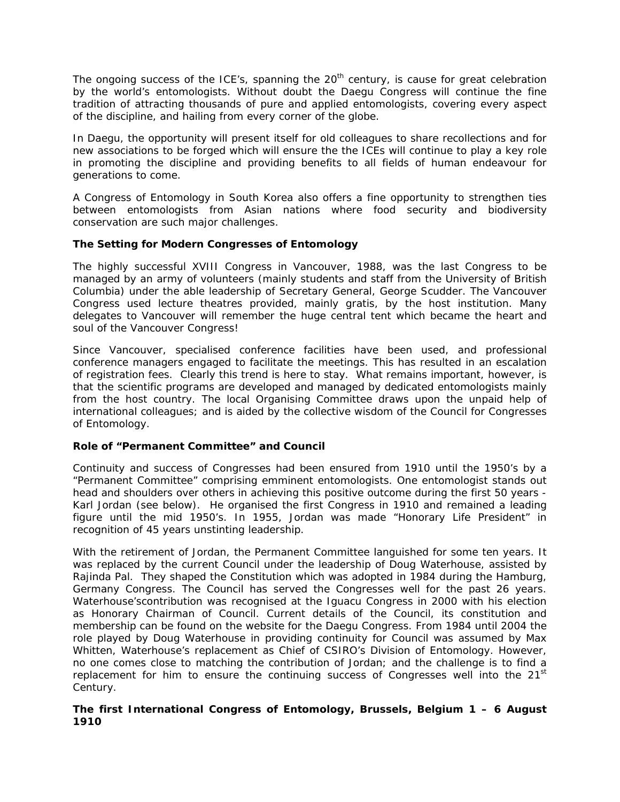The ongoing success of the ICE's, spanning the  $20<sup>th</sup>$  century, is cause for great celebration by the world's entomologists. Without doubt the Daegu Congress will continue the fine tradition of attracting thousands of pure and applied entomologists, covering every aspect of the discipline, and hailing from every corner of the globe.

In Daegu, the opportunity will present itself for old colleagues to share recollections and for new associations to be forged which will ensure the the ICEs will continue to play a key role in promoting the discipline and providing benefits to all fields of human endeavour for generations to come.

A Congress of Entomology in South Korea also offers a fine opportunity to strengthen ties between entomologists from Asian nations where food security and biodiversity conservation are such major challenges.

## **The Setting for Modern Congresses of Entomology**

The highly successful XVIII Congress in Vancouver, 1988, was the last Congress to be managed by an army of volunteers (mainly students and staff from the University of British Columbia) under the able leadership of Secretary General, George Scudder. The Vancouver Congress used lecture theatres provided, mainly gratis, by the host institution. Many delegates to Vancouver will remember the huge central tent which became the heart and soul of the Vancouver Congress!

Since Vancouver, specialised conference facilities have been used, and professional conference managers engaged to facilitate the meetings. This has resulted in an escalation of registration fees. Clearly this trend is here to stay. What remains important, however, is that the scientific programs are developed and managed by dedicated entomologists mainly from the host country. The local Organising Committee draws upon the unpaid help of international colleagues; and is aided by the collective wisdom of the Council for Congresses of Entomology.

## **Role of "Permanent Committee" and Council**

Continuity and success of Congresses had been ensured from 1910 until the 1950's by a "Permanent Committee" comprising emminent entomologists. One entomologist stands out head and shoulders over others in achieving this positive outcome during the first 50 years - Karl Jordan (see below). He organised the first Congress in 1910 and remained a leading figure until the mid 1950's. In 1955, Jordan was made "Honorary Life President" in recognition of 45 years unstinting leadership.

With the retirement of Jordan, the Permanent Committee languished for some ten years. It was replaced by the current Council under the leadership of Doug Waterhouse, assisted by Rajinda Pal. They shaped the Constitution which was adopted in 1984 during the Hamburg, Germany Congress. The Council has served the Congresses well for the past 26 years. Waterhouse'scontribution was recognised at the Iguacu Congress in 2000 with his election as Honorary Chairman of Council. Current details of the Council, its constitution and membership can be found on the website for the Daegu Congress. From 1984 until 2004 the role played by Doug Waterhouse in providing continuity for Council was assumed by Max Whitten, Waterhouse's replacement as Chief of CSIRO's Division of Entomology. However, no one comes close to matching the contribution of Jordan; and the challenge is to find a replacement for him to ensure the continuing success of Congresses well into the  $21<sup>st</sup>$ Century.

## **The first International Congress of Entomology, Brussels, Belgium 1 – 6 August 1910**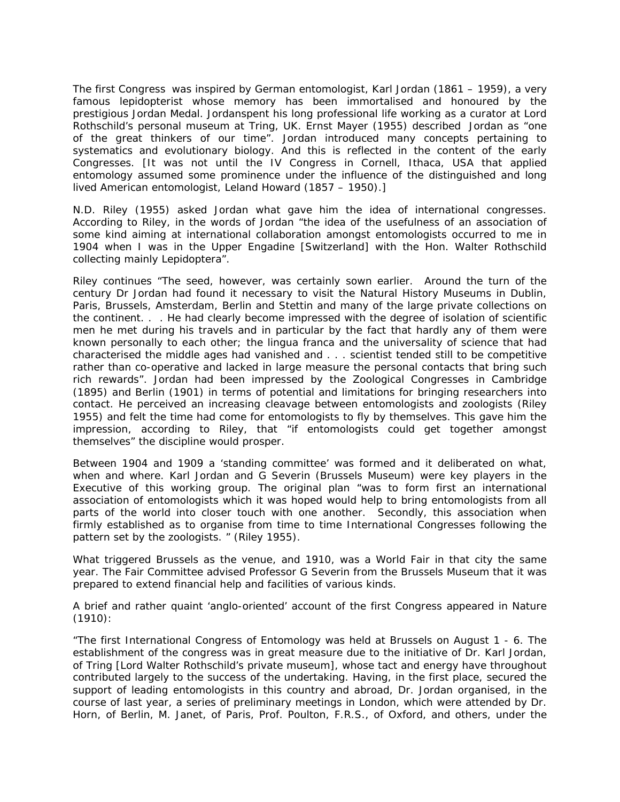The first Congress was inspired by German entomologist, Karl Jordan (1861 – 1959), a very famous lepidopterist whose memory has been immortalised and honoured by the prestigious Jordan Medal. Jordanspent his long professional life working as a curator at Lord Rothschild's personal museum at Tring, UK. Ernst Mayer (1955) described Jordan as "one of the great thinkers of our time". Jordan introduced many concepts pertaining to systematics and evolutionary biology. And this is reflected in the content of the early Congresses. [It was not until the IV Congress in Cornell, Ithaca, USA that applied entomology assumed some prominence under the influence of the distinguished and long lived American entomologist, Leland Howard (1857 – 1950).]

N.D. Riley (1955) asked Jordan what gave him the idea of international congresses. According to Riley, in the words of Jordan "*the idea of the usefulness of an association of some kind aiming at international collaboration amongst entomologists occurred to me in 1904 when I was in the Upper Engadine [Switzerland] with the Hon. Walter Rothschild collecting mainly Lepidoptera*".

Riley continues "*The seed, however, was certainly sown earlier. Around the turn of the century Dr Jordan had found it necessary to visit the Natural History Museums in Dublin, Paris, Brussels, Amsterdam, Berlin and Stettin and many of the large private collections on the continent. . . He had clearly become impressed with the degree of isolation of scientific men he met during his travels and in particular by the fact that hardly any of them were known personally to each other; the lingua franca and the universality of science that had characterised the middle ages had vanished and . . . scientist tended still to be competitive rather than co-operative and lacked in large measure the personal contacts that bring such rich rewards*". Jordan had been impressed by the Zoological Congresses in Cambridge (1895) and Berlin (1901) in terms of potential and limitations for bringing researchers into contact. He perceived an increasing cleavage between entomologists and zoologists (Riley 1955) and felt the time had come for entomologists to fly by themselves. This gave him the impression, according to Riley, that "if entomologists could get together amongst themselves" the discipline would prosper.

Between 1904 and 1909 a 'standing committee' was formed and it deliberated on what, when and where. Karl Jordan and G Severin (Brussels Museum) were key players in the Executive of this working group. The original plan "*was to form first an international association of entomologists which it was hoped would help to bring entomologists from all parts of the world into closer touch with one another. Secondly, this association when firmly established as to organise from time to time International Congresses following the pattern set by the zoologists*. " (Riley 1955).

What triggered Brussels as the venue, and 1910, was a World Fair in that city the same year. The Fair Committee advised Professor G Severin from the Brussels Museum that it was prepared to extend financial help and facilities of various kinds.

A brief and rather quaint 'anglo-oriented' account of the first Congress appeared in Nature (1910):

"*The first International Congress of Entomology was held at Brussels on August 1 - 6. The establishment of the congress was in great measure due to the initiative of Dr. Karl Jordan, of Tring [Lord Walter Rothschild's private museum], whose tact and energy have throughout contributed largely to the success of the undertaking. Having, in the first place, secured the support of leading entomologists in this country and abroad, Dr. Jordan organised, in the course of last year, a series of preliminary meetings in London, which were attended by Dr. Horn, of Berlin, M. Janet, of Paris, Prof. Poulton, F.R.S., of Oxford, and others, under the*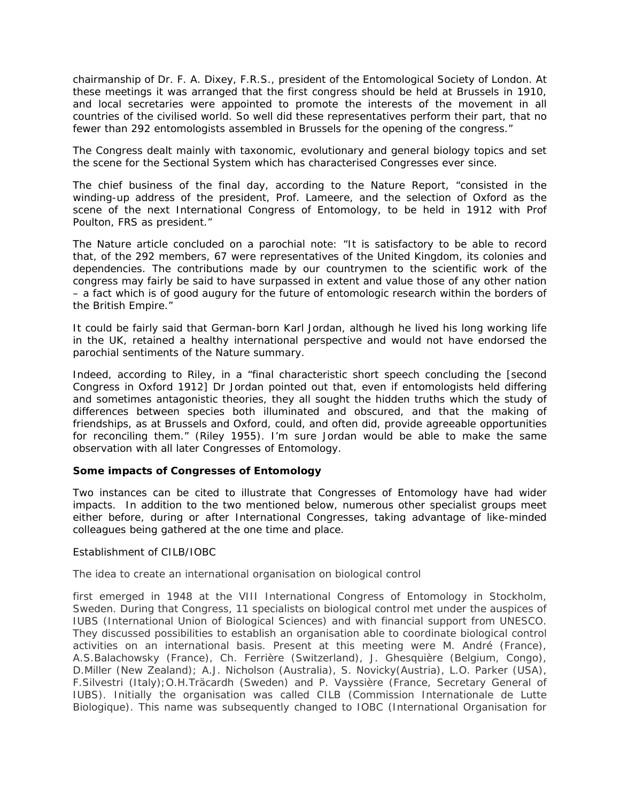*chairmanship of Dr. F. A. Dixey, F.R.S., president of the Entomological Society of London. At these meetings it was arranged that the first congress should be held at Brussels in 1910,*  and local secretaries were appointed to promote the interests of the movement in all *countries of the civilised world. So well did these representatives perform their part, that no fewer than 292 entomologists assembled in Brussels for the opening of the congress*."

The Congress dealt mainly with taxonomic, evolutionary and general biology topics and set the scene for the Sectional System which has characterised Congresses ever since.

The chief business of the final day, according to the Nature Report, "*consisted in the winding-up address of the president, Prof. Lameere, and the selection of Oxford as the scene of the next International Congress of Entomology, to be held in 1912 with Prof Poulton, FRS as president*."

The Nature article concluded on a parochial note: "*It is satisfactory to be able to record that, of the 292 members, 67 were representatives of the United Kingdom, its colonies and dependencies. The contributions made by our countrymen to the scientific work of the congress may fairly be said to have surpassed in extent and value those of any other nation – a fact which is of good augury for the future of entomologic research within the borders of the British Empire*."

It could be fairly said that German-born Karl Jordan, although he lived his long working life in the UK, retained a healthy international perspective and would not have endorsed the parochial sentiments of the Nature summary.

Indeed, according to Riley, in a "*final characteristic short speech concluding the [second Congress in Oxford 1912] Dr Jordan pointed out that, even if entomologists held differing and sometimes antagonistic theories, they all sought the hidden truths which the study of differences between species both illuminated and obscured, and that the making of friendships, as at Brussels and Oxford, could, and often did, provide agreeable opportunities for reconciling them.*" (Riley 1955). I'm sure Jordan would be able to make the same observation with all later Congresses of Entomology.

## **Some impacts of Congresses of Entomology**

Two instances can be cited to illustrate that Congresses of Entomology have had wider impacts. In addition to the two mentioned below, numerous other specialist groups meet either before, during or after International Congresses, taking advantage of like-minded colleagues being gathered at the one time and place.

#### *Establishment of CILB/IOBC*

The idea to create an international organisation on biological control

first emerged in 1948 at the VIII International Congress of Entomology in Stockholm, Sweden. During that Congress, 11 specialists on biological control met under the auspices of IUBS (International Union of Biological Sciences) and with financial support from UNESCO. They discussed possibilities to establish an organisation able to coordinate biological control activities on an international basis. Present at this meeting were M. André (France), A.S.Balachowsky (France), Ch. Ferrière (Switzerland), J. Ghesquière (Belgium, Congo), D.Miller (New Zealand); A.J. Nicholson (Australia), S. Novicky(Austria), L.O. Parker (USA), F.Silvestri (Italy);O.H.Träcardh (Sweden) and P. Vayssière (France, Secretary General of IUBS). Initially the organisation was called CILB (Commission Internationale de Lutte Biologique). This name was subsequently changed to IOBC (International Organisation for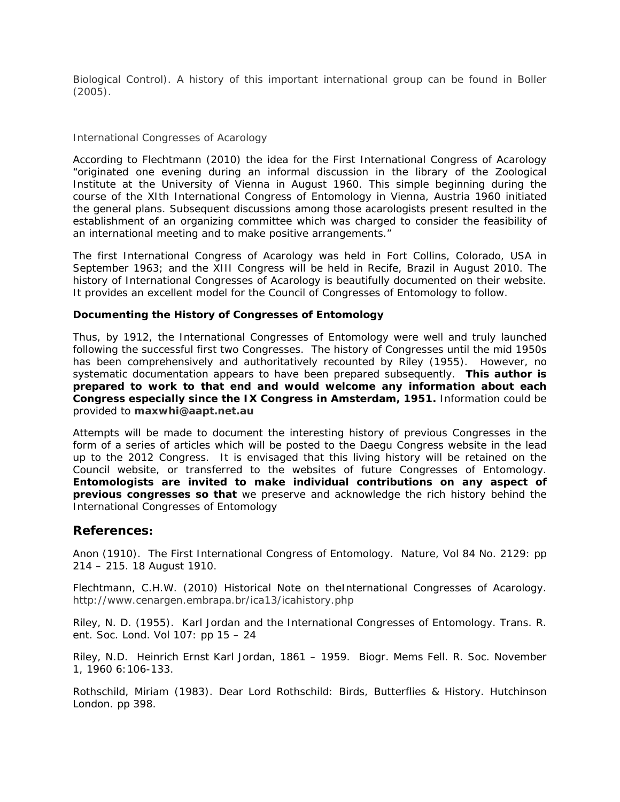Biological Control). A history of this important international group can be found in Boller (2005).

#### *International Congresses of Acarology*

According to Flechtmann (2010) the idea for the First International Congress of Acarology "*originated one evening during an informal discussion in the library of the Zoological Institute at the University of Vienna in August 1960. This simple beginning during the course of the XIth International Congress of Entomology in Vienna, Austria 1960 initiated the general plans. Subsequent discussions among those acarologists present resulted in the establishment of an organizing committee which was charged to consider the feasibility of an international meeting and to make positive arrangements*."

The first International Congress of Acarology was held in Fort Collins, Colorado, USA in September 1963; and the XIII Congress will be held in Recife, Brazil in August 2010. The history of International Congresses of Acarology is beautifully documented on their website. It provides an excellent model for the Council of Congresses of Entomology to follow.

#### **Documenting the History of Congresses of Entomology**

Thus, by 1912, the International Congresses of Entomology were well and truly launched following the successful first two Congresses. The history of Congresses until the mid 1950s has been comprehensively and authoritatively recounted by Riley (1955). However, no systematic documentation appears to have been prepared subsequently. **This author is prepared to work to that end and would welcome any information about each Congress especially since the IX Congress in Amsterdam, 1951.** Information could be provided to **maxwhi@aapt.net.au**

Attempts will be made to document the interesting history of previous Congresses in the form of a series of articles which will be posted to the Daegu Congress website in the lead up to the 2012 Congress. It is envisaged that this living history will be retained on the Council website, or transferred to the websites of future Congresses of Entomology. **Entomologists are invited to make individual contributions on any aspect of previous congresses so that** we preserve and acknowledge the rich history behind the International Congresses of Entomology

## **References:**

Anon (1910). The First International Congress of Entomology. Nature, Vol 84 No. 2129: pp 214 – 215. 18 August 1910.

Flechtmann, C.H.W. (2010) Historical Note on theInternational Congresses of Acarology. http://www.cenargen.embrapa.br/ica13/icahistory.php

Riley, N. D. (1955). Karl Jordan and the International Congresses of Entomology. *Trans. R. ent. Soc. Lond.* Vol 107: pp 15 – 24

Riley, N.D. Heinrich Ernst Karl Jordan, 1861 – 1959. Biogr. Mems Fell. R. Soc. November 1, 1960 6:106-133.

Rothschild, Miriam (1983). Dear Lord Rothschild: Birds, Butterflies & History. Hutchinson London. pp 398.